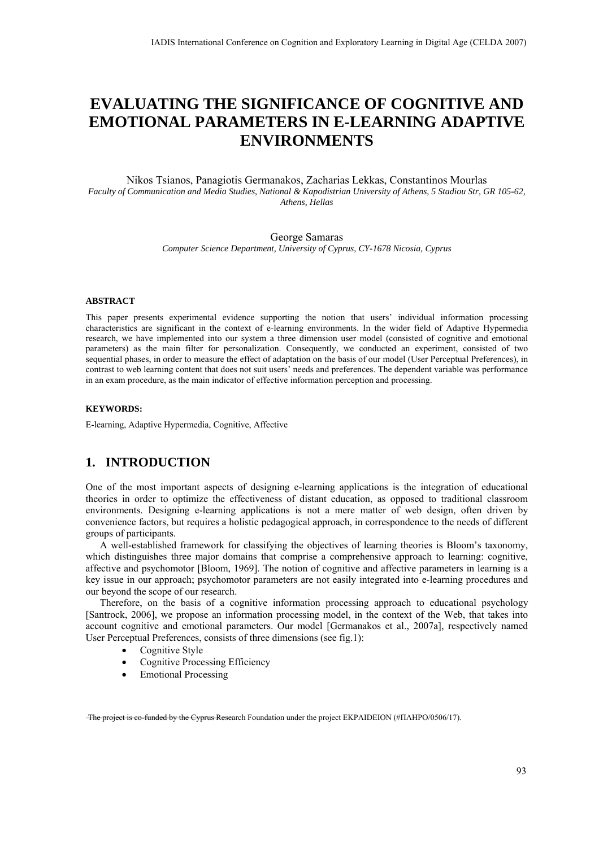# **EVALUATING THE SIGNIFICANCE OF COGNITIVE AND EMOTIONAL PARAMETERS IN E-LEARNING ADAPTIVE ENVIRONMENTS**

Nikos Tsianos, Panagiotis Germanakos, Zacharias Lekkas, Constantinos Mourlas *Faculty of Communication and Media Studies, National & Kapodistrian University of Athens, 5 Stadiou Str, GR 105-62, Athens, Hellas* 

#### George Samaras *Computer Science Department, University of Cyprus, CY-1678 Nicosia, Cyprus*

#### **ABSTRACT**

This paper presents experimental evidence supporting the notion that users' individual information processing characteristics are significant in the context of e-learning environments. In the wider field of Adaptive Hypermedia research, we have implemented into our system a three dimension user model (consisted of cognitive and emotional parameters) as the main filter for personalization. Consequently, we conducted an experiment, consisted of two sequential phases, in order to measure the effect of adaptation on the basis of our model (User Perceptual Preferences), in contrast to web learning content that does not suit users' needs and preferences. The dependent variable was performance in an exam procedure, as the main indicator of effective information perception and processing.

#### **KEYWORDS:**

E-learning, Adaptive Hypermedia, Cognitive, Affective

# **1. INTRODUCTION**

One of the most important aspects of designing e-learning applications is the integration of educational theories in order to optimize the effectiveness of distant education, as opposed to traditional classroom environments. Designing e-learning applications is not a mere matter of web design, often driven by convenience factors, but requires a holistic pedagogical approach, in correspondence to the needs of different groups of participants.

A well-established framework for classifying the objectives of learning theories is Bloom's taxonomy, which distinguishes three major domains that comprise a comprehensive approach to learning: cognitive, affective and psychomotor [Bloom, 1969]. The notion of cognitive and affective parameters in learning is a key issue in our approach; psychomotor parameters are not easily integrated into e-learning procedures and our beyond the scope of our research.

Therefore, on the basis of a cognitive information processing approach to educational psychology [Santrock, 2006], we propose an information processing model, in the context of the Web, that takes into account cognitive and emotional parameters. Our model [Germanakos et al., 2007a], respectively named User Perceptual Preferences, consists of three dimensions (see fig.1):

- Cognitive Style
- Cognitive Processing Efficiency
- **Emotional Processing**

The project is co-funded by the Cyprus Research Foundation under the project EKPAIDEION (#ΠΛΗΡΟ/0506/17).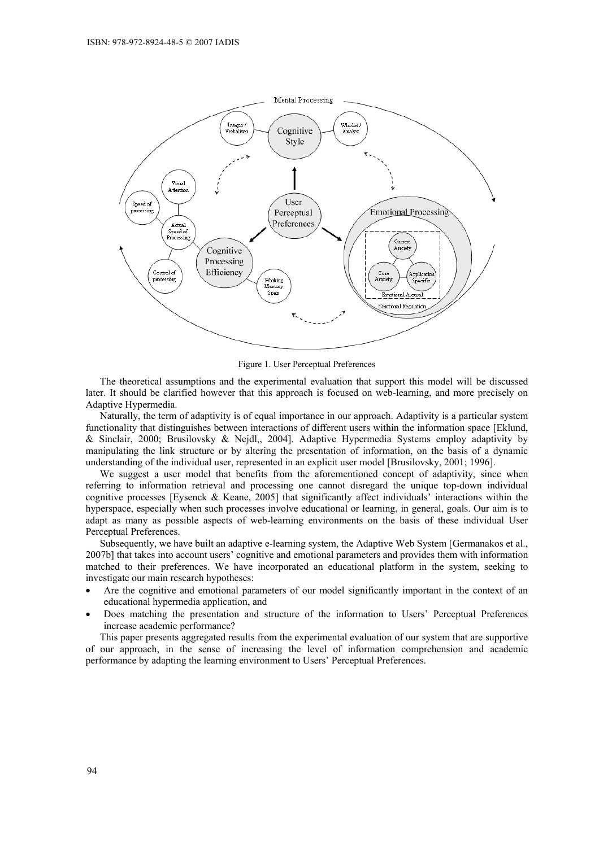

Figure 1. User Perceptual Preferences

The theoretical assumptions and the experimental evaluation that support this model will be discussed later. It should be clarified however that this approach is focused on web-learning, and more precisely on Adaptive Hypermedia.

Naturally, the term of adaptivity is of equal importance in our approach. Adaptivity is a particular system functionality that distinguishes between interactions of different users within the information space [Eklund, & Sinclair, 2000; Brusilovsky & Nejdl,, 2004]. Adaptive Hypermedia Systems employ adaptivity by manipulating the link structure or by altering the presentation of information, on the basis of a dynamic understanding of the individual user, represented in an explicit user model [Brusilovsky, 2001; 1996].

We suggest a user model that benefits from the aforementioned concept of adaptivity, since when referring to information retrieval and processing one cannot disregard the unique top-down individual cognitive processes [Eysenck & Keane, 2005] that significantly affect individuals' interactions within the hyperspace, especially when such processes involve educational or learning, in general, goals. Our aim is to adapt as many as possible aspects of web-learning environments on the basis of these individual User Perceptual Preferences.

Subsequently, we have built an adaptive e-learning system, the Adaptive Web System [Germanakos et al., 2007b] that takes into account users' cognitive and emotional parameters and provides them with information matched to their preferences. We have incorporated an educational platform in the system, seeking to investigate our main research hypotheses:

- Are the cognitive and emotional parameters of our model significantly important in the context of an educational hypermedia application, and
- Does matching the presentation and structure of the information to Users' Perceptual Preferences increase academic performance?

This paper presents aggregated results from the experimental evaluation of our system that are supportive of our approach, in the sense of increasing the level of information comprehension and academic performance by adapting the learning environment to Users' Perceptual Preferences.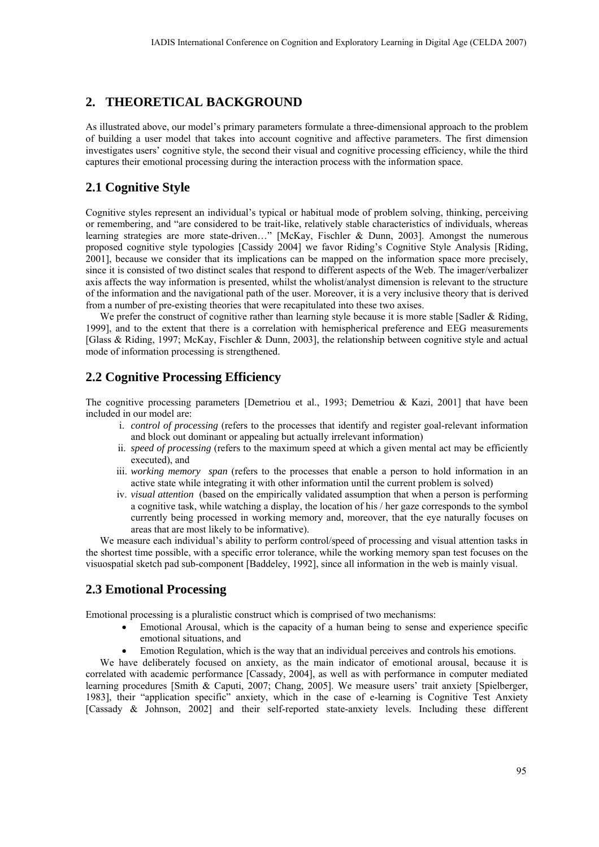# **2. THEORETICAL BACKGROUND**

As illustrated above, our model's primary parameters formulate a three-dimensional approach to the problem of building a user model that takes into account cognitive and affective parameters. The first dimension investigates users' cognitive style, the second their visual and cognitive processing efficiency, while the third captures their emotional processing during the interaction process with the information space.

# **2.1 Cognitive Style**

Cognitive styles represent an individual's typical or habitual mode of problem solving, thinking, perceiving or remembering, and "are considered to be trait-like, relatively stable characteristics of individuals, whereas learning strategies are more state-driven…" [McKay, Fischler & Dunn, 2003]. Amongst the numerous proposed cognitive style typologies [Cassidy 2004] we favor Riding's Cognitive Style Analysis [Riding, 2001], because we consider that its implications can be mapped on the information space more precisely, since it is consisted of two distinct scales that respond to different aspects of the Web. The imager/verbalizer axis affects the way information is presented, whilst the wholist/analyst dimension is relevant to the structure of the information and the navigational path of the user. Moreover, it is a very inclusive theory that is derived from a number of pre-existing theories that were recapitulated into these two axises.

We prefer the construct of cognitive rather than learning style because it is more stable [Sadler & Riding, 1999], and to the extent that there is a correlation with hemispherical preference and EEG measurements [Glass & Riding, 1997; McKay, Fischler & Dunn, 2003], the relationship between cognitive style and actual mode of information processing is strengthened.

### **2.2 Cognitive Processing Efficiency**

The cognitive processing parameters [Demetriou et al., 1993; Demetriou & Kazi, 2001] that have been included in our model are:

- i. *control of processing* (refers to the processes that identify and register goal-relevant information and block out dominant or appealing but actually irrelevant information)
- ii. *speed of processing* (refers to the maximum speed at which a given mental act may be efficiently executed), and
- iii. *working memory span* (refers to the processes that enable a person to hold information in an active state while integrating it with other information until the current problem is solved)
- iv. *visual attention* (based on the empirically validated assumption that when a person is performing a cognitive task, while watching a display, the location of his / her gaze corresponds to the symbol currently being processed in working memory and, moreover, that the eye naturally focuses on areas that are most likely to be informative).

We measure each individual's ability to perform control/speed of processing and visual attention tasks in the shortest time possible, with a specific error tolerance, while the working memory span test focuses on the visuospatial sketch pad sub-component [Baddeley, 1992], since all information in the web is mainly visual.

### **2.3 Emotional Processing**

Emotional processing is a pluralistic construct which is comprised of two mechanisms:

- Emotional Arousal, which is the capacity of a human being to sense and experience specific emotional situations, and
- Emotion Regulation, which is the way that an individual perceives and controls his emotions.

We have deliberately focused on anxiety, as the main indicator of emotional arousal, because it is correlated with academic performance [Cassady, 2004], as well as with performance in computer mediated learning procedures [Smith & Caputi, 2007; Chang, 2005]. We measure users' trait anxiety [Spielberger, 1983], their "application specific" anxiety, which in the case of e-learning is Cognitive Test Anxiety [Cassady & Johnson, 2002] and their self-reported state-anxiety levels. Including these different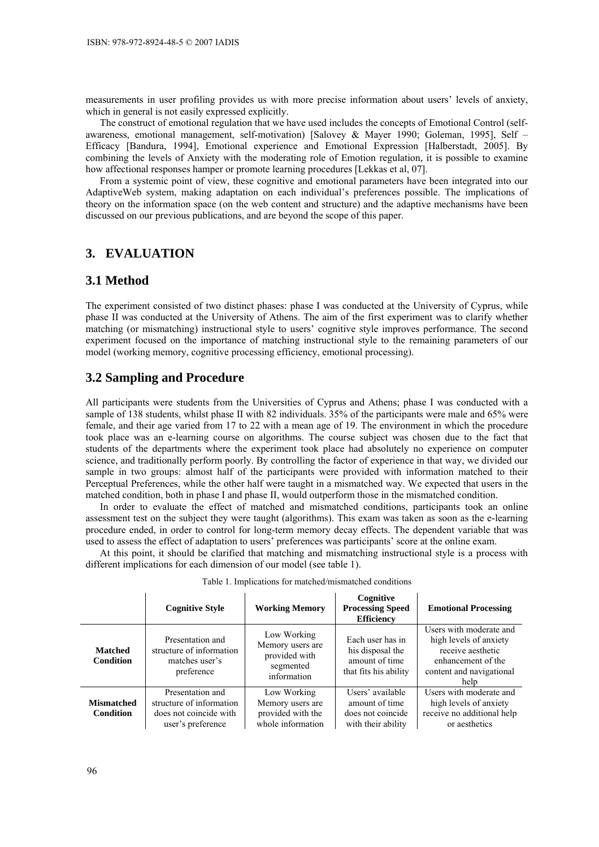measurements in user profiling provides us with more precise information about users' levels of anxiety, which in general is not easily expressed explicitly.

The construct of emotional regulation that we have used includes the concepts of Emotional Control (selfawareness, emotional management, self-motivation) [Salovey & Mayer 1990; Goleman, 1995], Self – Efficacy [Bandura, 1994], Emotional experience and Emotional Expression [Halberstadt, 2005]. By combining the levels of Anxiety with the moderating role of Emotion regulation, it is possible to examine how affectional responses hamper or promote learning procedures [Lekkas et al, 07].

From a systemic point of view, these cognitive and emotional parameters have been integrated into our AdaptiveWeb system, making adaptation on each individual's preferences possible. The implications of theory on the information space (on the web content and structure) and the adaptive mechanisms have been discussed on our previous publications, and are beyond the scope of this paper.

# **3. EVALUATION**

### **3.1 Method**

The experiment consisted of two distinct phases: phase I was conducted at the University of Cyprus, while phase II was conducted at the University of Athens. The aim of the first experiment was to clarify whether matching (or mismatching) instructional style to users' cognitive style improves performance. The second experiment focused on the importance of matching instructional style to the remaining parameters of our model (working memory, cognitive processing efficiency, emotional processing).

#### **3.2 Sampling and Procedure**

All participants were students from the Universities of Cyprus and Athens; phase I was conducted with a sample of 138 students, whilst phase II with 82 individuals. 35% of the participants were male and 65% were female, and their age varied from 17 to 22 with a mean age of 19. The environment in which the procedure took place was an e-learning course on algorithms. The course subject was chosen due to the fact that students of the departments where the experiment took place had absolutely no experience on computer science, and traditionally perform poorly. By controlling the factor of experience in that way, we divided our sample in two groups: almost half of the participants were provided with information matched to their Perceptual Preferences, while the other half were taught in a mismatched way. We expected that users in the matched condition, both in phase I and phase II, would outperform those in the mismatched condition.

In order to evaluate the effect of matched and mismatched conditions, participants took an online assessment test on the subject they were taught (algorithms). This exam was taken as soon as the e-learning procedure ended, in order to control for long-term memory decay effects. The dependent variable that was used to assess the effect of adaptation to users' preferences was participants' score at the online exam.

At this point, it should be clarified that matching and mismatching instructional style is a process with different implications for each dimension of our model (see table 1).

|                                       | <b>Cognitive Style</b>                                                                      | <b>Working Memory</b>                                                        | Cognitive<br><b>Processing Speed</b><br><b>Efficiency</b>                       | <b>Emotional Processing</b>                                                                                                      |
|---------------------------------------|---------------------------------------------------------------------------------------------|------------------------------------------------------------------------------|---------------------------------------------------------------------------------|----------------------------------------------------------------------------------------------------------------------------------|
| <b>Matched</b><br>Condition           | Presentation and<br>structure of information<br>matches user's<br>preference                | Low Working<br>Memory users are<br>provided with<br>segmented<br>information | Each user has in<br>his disposal the<br>amount of time<br>that fits his ability | Users with moderate and<br>high levels of anxiety<br>receive aesthetic<br>enhancement of the<br>content and navigational<br>help |
| <b>Mismatched</b><br><b>Condition</b> | Presentation and<br>structure of information<br>does not coincide with<br>user's preference | Low Working<br>Memory users are<br>provided with the<br>whole information    | Users' available<br>amount of time<br>does not coincide<br>with their ability   | Users with moderate and<br>high levels of anxiety<br>receive no additional help<br>or aesthetics                                 |

|  |  | Table 1. Implications for matched/mismatched conditions |  |  |
|--|--|---------------------------------------------------------|--|--|
|--|--|---------------------------------------------------------|--|--|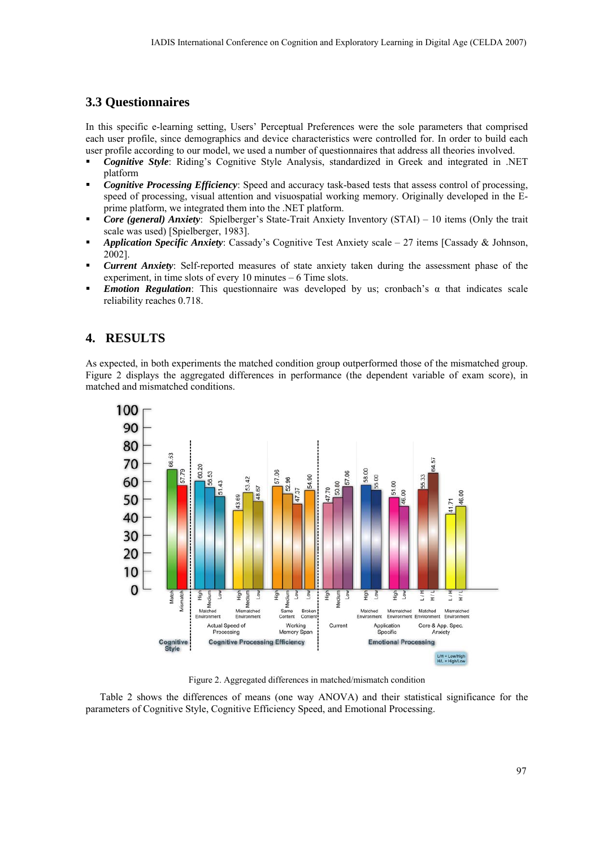# **3.3 Questionnaires**

In this specific e-learning setting, Users' Perceptual Preferences were the sole parameters that comprised each user profile, since demographics and device characteristics were controlled for. In order to build each user profile according to our model, we used a number of questionnaires that address all theories involved.

- *Cognitive Style*: Riding's Cognitive Style Analysis, standardized in Greek and integrated in .NET platform
- *Cognitive Processing Efficiency*: Speed and accuracy task-based tests that assess control of processing, speed of processing, visual attention and visuospatial working memory. Originally developed in the Eprime platform, we integrated them into the .NET platform.
- *Core (general) Anxiety*: Spielberger's State-Trait Anxiety Inventory (STAI) 10 items (Only the trait scale was used) [Spielberger, 1983].
- *Application Specific Anxiety*: Cassady's Cognitive Test Anxiety scale 27 items [Cassady & Johnson, 2002].
- *Current Anxiety*: Self-reported measures of state anxiety taken during the assessment phase of the experiment, in time slots of every 10 minutes – 6 Time slots.
- *Emotion Regulation*: This questionnaire was developed by us; cronbach's  $\alpha$  that indicates scale reliability reaches 0.718.

### **4. RESULTS**

As expected, in both experiments the matched condition group outperformed those of the mismatched group. Figure 2 displays the aggregated differences in performance (the dependent variable of exam score), in matched and mismatched conditions.



Figure 2. Aggregated differences in matched/mismatch condition

Table 2 shows the differences of means (one way ANOVA) and their statistical significance for the parameters of Cognitive Style, Cognitive Efficiency Speed, and Emotional Processing.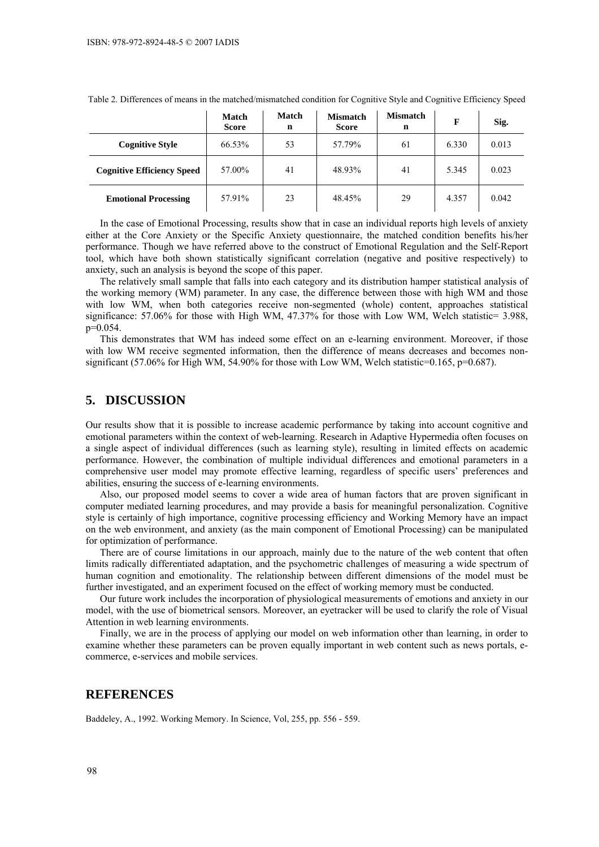|                                   | <b>Match</b><br>Score | <b>Match</b><br>n | <b>Mismatch</b><br><b>Score</b> | <b>Mismatch</b><br>n | F     | Sig.  |
|-----------------------------------|-----------------------|-------------------|---------------------------------|----------------------|-------|-------|
| <b>Cognitive Style</b>            | 66.53%                | 53                | 57.79%                          | 61                   | 6.330 | 0.013 |
| <b>Cognitive Efficiency Speed</b> | 57.00%                | 41                | 48.93%                          | 41                   | 5.345 | 0.023 |
| <b>Emotional Processing</b>       | 57.91%                | 23                | 48.45%                          | 29                   | 4.357 | 0.042 |

Table 2. Differences of means in the matched/mismatched condition for Cognitive Style and Cognitive Efficiency Speed

In the case of Emotional Processing, results show that in case an individual reports high levels of anxiety either at the Core Anxiety or the Specific Anxiety questionnaire, the matched condition benefits his/her performance. Though we have referred above to the construct of Emotional Regulation and the Self-Report tool, which have both shown statistically significant correlation (negative and positive respectively) to anxiety, such an analysis is beyond the scope of this paper.

The relatively small sample that falls into each category and its distribution hamper statistical analysis of the working memory (WM) parameter. In any case, the difference between those with high WM and those with low WM, when both categories receive non-segmented (whole) content, approaches statistical significance: 57.06% for those with High WM, 47.37% for those with Low WM, Welch statistic= 3.988, p=0.054.

This demonstrates that WM has indeed some effect on an e-learning environment. Moreover, if those with low WM receive segmented information, then the difference of means decreases and becomes nonsignificant (57.06% for High WM, 54.90% for those with Low WM, Welch statistic=0.165,  $p=0.687$ ).

#### **5. DISCUSSION**

Our results show that it is possible to increase academic performance by taking into account cognitive and emotional parameters within the context of web-learning. Research in Adaptive Hypermedia often focuses on a single aspect of individual differences (such as learning style), resulting in limited effects on academic performance. However, the combination of multiple individual differences and emotional parameters in a comprehensive user model may promote effective learning, regardless of specific users' preferences and abilities, ensuring the success of e-learning environments.

Also, our proposed model seems to cover a wide area of human factors that are proven significant in computer mediated learning procedures, and may provide a basis for meaningful personalization. Cognitive style is certainly of high importance, cognitive processing efficiency and Working Memory have an impact on the web environment, and anxiety (as the main component of Emotional Processing) can be manipulated for optimization of performance.

There are of course limitations in our approach, mainly due to the nature of the web content that often limits radically differentiated adaptation, and the psychometric challenges of measuring a wide spectrum of human cognition and emotionality. The relationship between different dimensions of the model must be further investigated, and an experiment focused on the effect of working memory must be conducted.

Our future work includes the incorporation of physiological measurements of emotions and anxiety in our model, with the use of biometrical sensors. Moreover, an eyetracker will be used to clarify the role of Visual Attention in web learning environments.

Finally, we are in the process of applying our model on web information other than learning, in order to examine whether these parameters can be proven equally important in web content such as news portals, ecommerce, e-services and mobile services.

#### **REFERENCES**

Baddeley, A., 1992. Working Memory. In Science, Vol, 255, pp. 556 - 559.